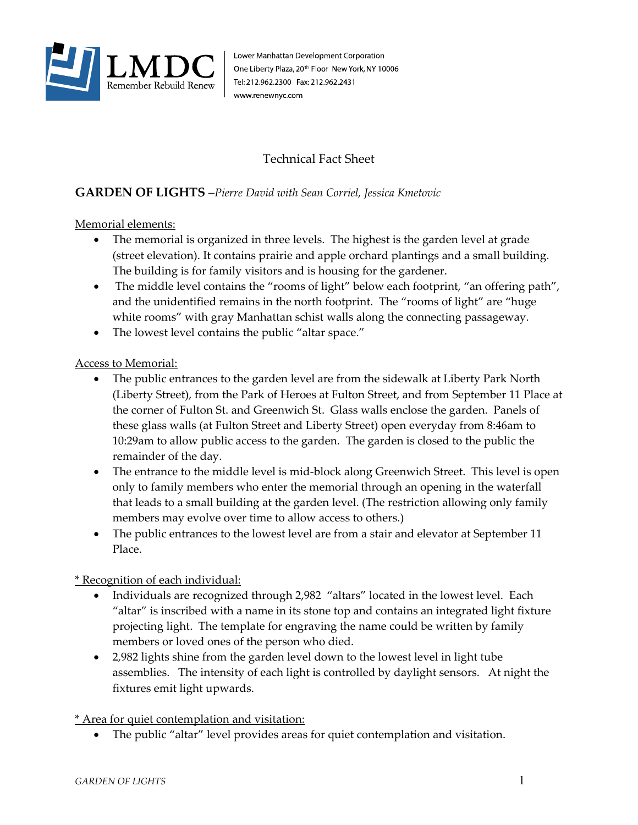

Lower Manhattan Development Corporation One Liberty Plaza, 20<sup>th</sup> Floor New York, NY 10006 Tel: 212.962.2300 Fax: 212.962.2431 www.renewnyc.com

# Technical Fact Sheet

# **GARDEN OF LIGHTS** –*Pierre David with Sean Corriel, Jessica Kmetovic*

#### Memorial elements:

- The memorial is organized in three levels. The highest is the garden level at grade (street elevation). It contains prairie and apple orchard plantings and a small building. The building is for family visitors and is housing for the gardener.
- The middle level contains the "rooms of light" below each footprint, "an offering path", and the unidentified remains in the north footprint. The "rooms of light" are "huge white rooms" with gray Manhattan schist walls along the connecting passageway.
- The lowest level contains the public "altar space."

### Access to Memorial:

- The public entrances to the garden level are from the sidewalk at Liberty Park North (Liberty Street), from the Park of Heroes at Fulton Street, and from September 11 Place at the corner of Fulton St. and Greenwich St. Glass walls enclose the garden. Panels of these glass walls (at Fulton Street and Liberty Street) open everyday from 8:46am to 10:29am to allow public access to the garden. The garden is closed to the public the remainder of the day.
- The entrance to the middle level is mid-block along Greenwich Street. This level is open only to family members who enter the memorial through an opening in the waterfall that leads to a small building at the garden level. (The restriction allowing only family members may evolve over time to allow access to others.)
- The public entrances to the lowest level are from a stair and elevator at September 11 Place.

## \* Recognition of each individual:

- Individuals are recognized through 2,982 "altars" located in the lowest level. Each "altar" is inscribed with a name in its stone top and contains an integrated light fixture projecting light. The template for engraving the name could be written by family members or loved ones of the person who died.
- 2,982 lights shine from the garden level down to the lowest level in light tube assemblies. The intensity of each light is controlled by daylight sensors. At night the fixtures emit light upwards.

\* Area for quiet contemplation and visitation:

The public "altar" level provides areas for quiet contemplation and visitation.